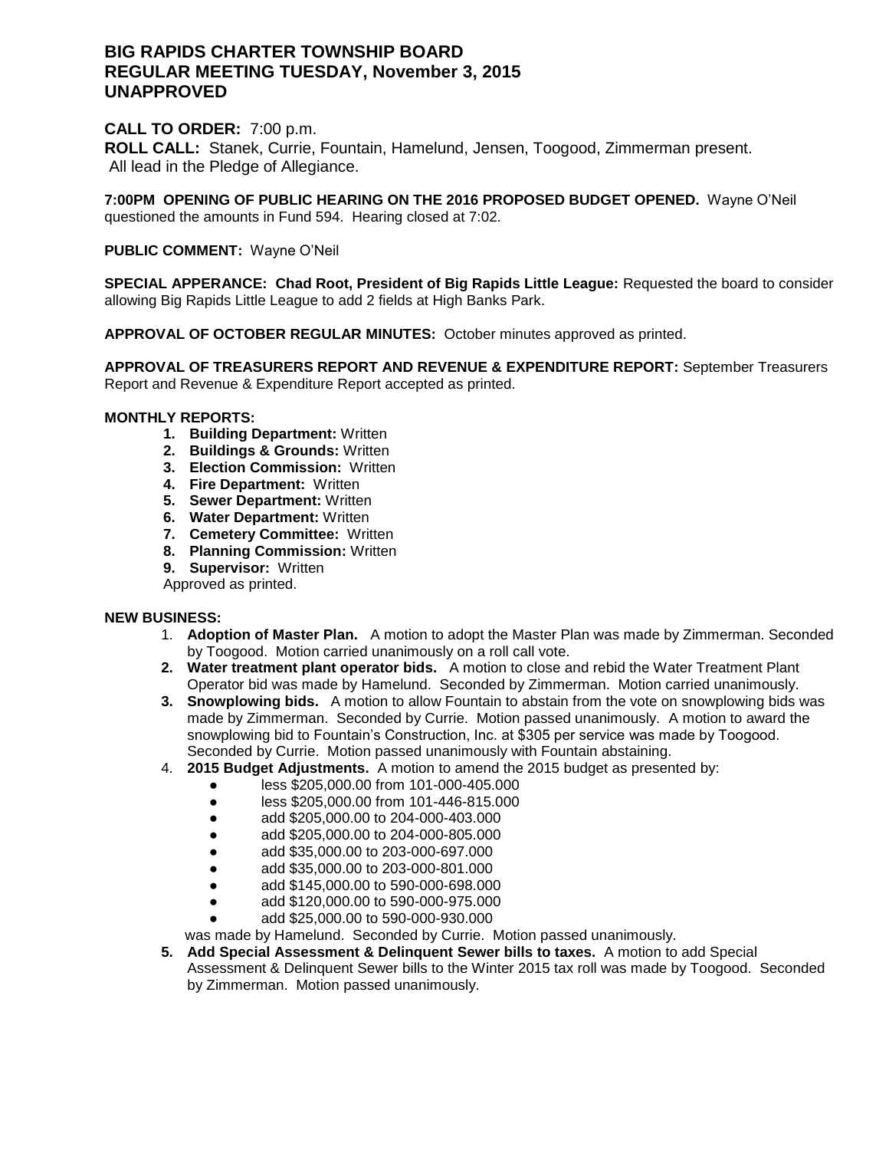# **BIG RAPIDS CHARTER TOWNSHIP BOARD REGULAR MEETING TUESDAY, November 3, 2015 UNAPPROVED**

# **CALL TO ORDER:** 7:00 p.m.

**ROLL CALL:** Stanek, Currie, Fountain, Hamelund, Jensen, Toogood, Zimmerman present. All lead in the Pledge of Allegiance.

**7:00PM OPENING OF PUBLIC HEARING ON THE 2016 PROPOSED BUDGET OPENED.** Wayne O'Neil questioned the amounts in Fund 594. Hearing closed at 7:02.

## **PUBLIC COMMENT:** Wayne O'Neil

**SPECIAL APPERANCE: Chad Root, President of Big Rapids Little League:** Requested the board to consider allowing Big Rapids Little League to add 2 fields at High Banks Park.

**APPROVAL OF OCTOBER REGULAR MINUTES:** October minutes approved as printed.

**APPROVAL OF TREASURERS REPORT AND REVENUE & EXPENDITURE REPORT:** September Treasurers Report and Revenue & Expenditure Report accepted as printed.

## **MONTHLY REPORTS:**

- **1. Building Department:** Written
- **2. Buildings & Grounds:** Written
- **3. Election Commission:** Written
- **4. Fire Department:** Written
- **5. Sewer Department:** Written
- **6. Water Department:** Written
- **7. Cemetery Committee:** Written
- **8. Planning Commission:** Written
- **9. Supervisor:** Written

Approved as printed.

### **NEW BUSINESS:**

- 1. **Adoption of Master Plan.** A motion to adopt the Master Plan was made by Zimmerman. Seconded by Toogood. Motion carried unanimously on a roll call vote.
- **2. Water treatment plant operator bids.** A motion to close and rebid the Water Treatment Plant Operator bid was made by Hamelund. Seconded by Zimmerman. Motion carried unanimously.
- **3. Snowplowing bids.** A motion to allow Fountain to abstain from the vote on snowplowing bids was made by Zimmerman. Seconded by Currie. Motion passed unanimously. A motion to award the snowplowing bid to Fountain's Construction, Inc. at \$305 per service was made by Toogood. Seconded by Currie. Motion passed unanimously with Fountain abstaining.
- 4. **2015 Budget Adjustments.** A motion to amend the 2015 budget as presented by:
	- less \$205,000.00 from 101-000-405.000
	- less \$205,000.00 from 101-446-815.000
	- add \$205,000.00 to 204-000-403.000
	- add \$205,000.00 to 204-000-805.000
	- add \$35,000.00 to 203-000-697.000
	- add \$35,000.00 to 203-000-801.000
	- add \$145,000.00 to 590-000-698.000
	- add \$120,000.00 to 590-000-975.000
	- add \$25,000.00 to 590-000-930.000
	- was made by Hamelund. Seconded by Currie. Motion passed unanimously.
- **5. Add Special Assessment & Delinquent Sewer bills to taxes.** A motion to add Special Assessment & Delinquent Sewer bills to the Winter 2015 tax roll was made by Toogood. Seconded by Zimmerman. Motion passed unanimously.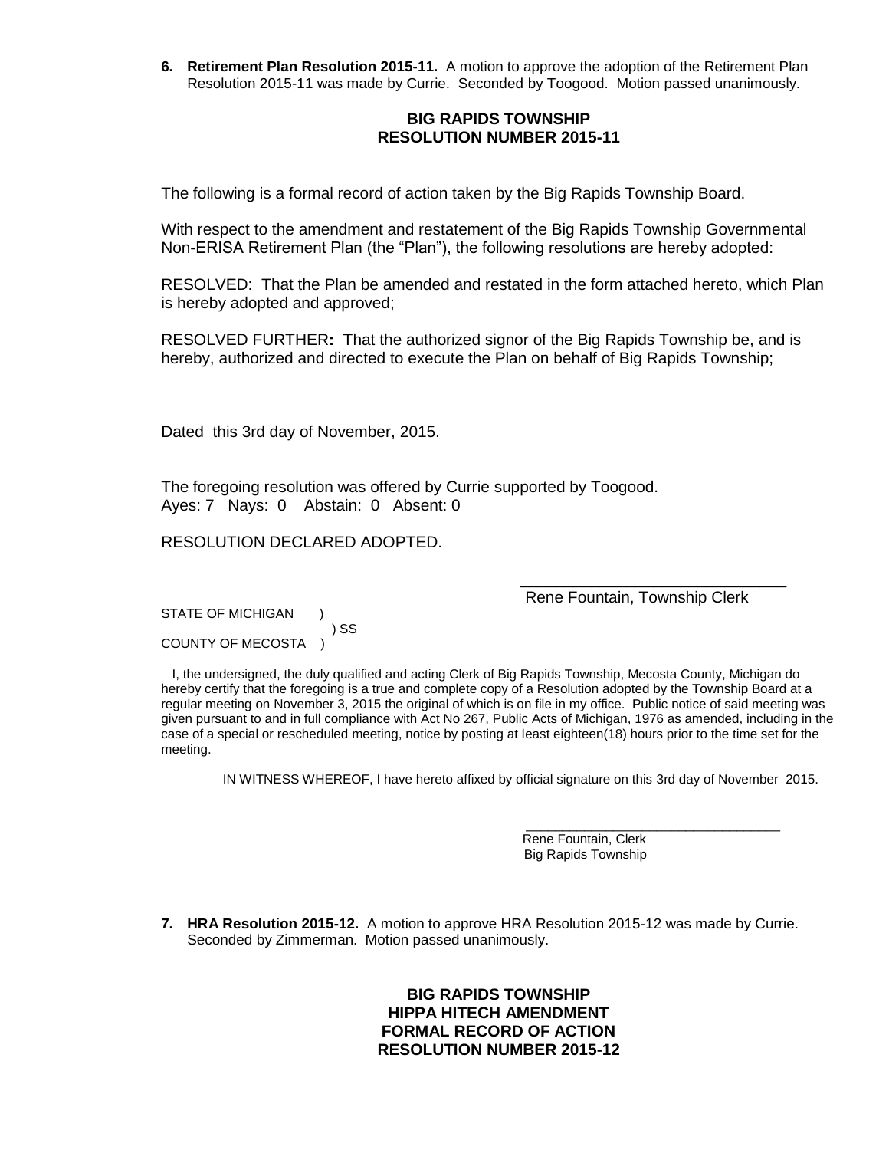**6. Retirement Plan Resolution 2015-11.** A motion to approve the adoption of the Retirement Plan Resolution 2015-11 was made by Currie. Seconded by Toogood. Motion passed unanimously.

## **BIG RAPIDS TOWNSHIP RESOLUTION NUMBER 2015-11**

The following is a formal record of action taken by the Big Rapids Township Board.

With respect to the amendment and restatement of the Big Rapids Township Governmental Non-ERISA Retirement Plan (the "Plan"), the following resolutions are hereby adopted:

RESOLVED: That the Plan be amended and restated in the form attached hereto, which Plan is hereby adopted and approved;

RESOLVED FURTHER**:** That the authorized signor of the Big Rapids Township be, and is hereby, authorized and directed to execute the Plan on behalf of Big Rapids Township;

Dated this 3rd day of November, 2015.

The foregoing resolution was offered by Currie supported by Toogood. Ayes: 7 Nays: 0Abstain: 0 Absent: 0

RESOLUTION DECLARED ADOPTED.

Rene Fountain, Township Clerk

\_\_\_\_\_\_\_\_\_\_\_\_\_\_\_\_\_\_\_\_\_\_\_\_\_\_\_\_\_\_

\_\_\_\_\_\_\_\_\_\_\_\_\_\_\_\_\_\_\_\_\_\_\_\_\_\_\_\_\_\_\_\_\_\_\_

STATE OF MICHIGAN ) SS COUNTY OF MECOSTA )

 I, the undersigned, the duly qualified and acting Clerk of Big Rapids Township, Mecosta County, Michigan do hereby certify that the foregoing is a true and complete copy of a Resolution adopted by the Township Board at a regular meeting on November 3, 2015 the original of which is on file in my office. Public notice of said meeting was given pursuant to and in full compliance with Act No 267, Public Acts of Michigan, 1976 as amended, including in the case of a special or rescheduled meeting, notice by posting at least eighteen(18) hours prior to the time set for the meeting.

IN WITNESS WHEREOF, I have hereto affixed by official signature on this 3rd day of November 2015.

 Rene Fountain, Clerk Big Rapids Township

**7. HRA Resolution 2015-12.** A motion to approve HRA Resolution 2015-12 was made by Currie. Seconded by Zimmerman. Motion passed unanimously.

> **BIG RAPIDS TOWNSHIP HIPPA HITECH AMENDMENT FORMAL RECORD OF ACTION RESOLUTION NUMBER 2015-12**